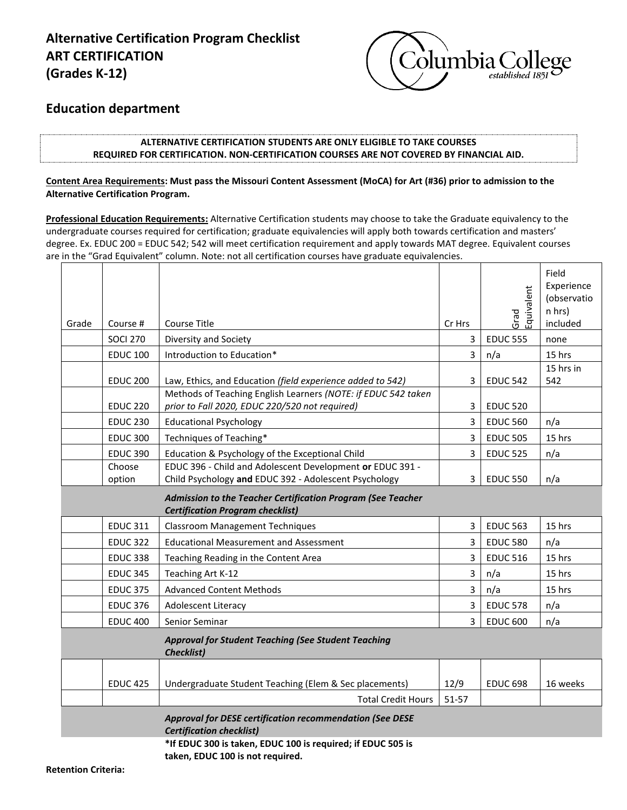# **Alternative Certification Program Checklist ART CERTIFICATION (Grades K-12)**



## **Education department**

### **ALTERNATIVE CERTIFICATION STUDENTS ARE ONLY ELIGIBLE TO TAKE COURSES REQUIRED FOR CERTIFICATION. NON-CERTIFICATION COURSES ARE NOT COVERED BY FINANCIAL AID.**

## **Content Area Requirements: Must pass the Missouri Content Assessment (MoCA) for Art (#36) prior to admission to the Alternative Certification Program.**

**Professional Education Requirements:** Alternative Certification students may choose to take the Graduate equivalency to the undergraduate courses required for certification; graduate equivalencies will apply both towards certification and masters' degree. Ex. EDUC 200 = EDUC 542; 542 will meet certification requirement and apply towards MAT degree. Equivalent courses are in the "Grad Equivalent" column. Note: not all certification courses have graduate equivalencies.

|                                                                                                        |                                                                                                                                                                                                                                                                                                                                                                                                                                                                                                                                                               | Grad<br>Equivalent | Experience<br>(observatio<br>n hrs)<br>included |
|--------------------------------------------------------------------------------------------------------|---------------------------------------------------------------------------------------------------------------------------------------------------------------------------------------------------------------------------------------------------------------------------------------------------------------------------------------------------------------------------------------------------------------------------------------------------------------------------------------------------------------------------------------------------------------|--------------------|-------------------------------------------------|
|                                                                                                        |                                                                                                                                                                                                                                                                                                                                                                                                                                                                                                                                                               |                    | none                                            |
|                                                                                                        | 3                                                                                                                                                                                                                                                                                                                                                                                                                                                                                                                                                             |                    | 15 hrs                                          |
| Law, Ethics, and Education (field experience added to 542)                                             | 3                                                                                                                                                                                                                                                                                                                                                                                                                                                                                                                                                             | <b>EDUC 542</b>    | 15 hrs in<br>542                                |
| prior to Fall 2020, EDUC 220/520 not required)                                                         | 3                                                                                                                                                                                                                                                                                                                                                                                                                                                                                                                                                             | <b>EDUC 520</b>    |                                                 |
| <b>Educational Psychology</b>                                                                          | 3                                                                                                                                                                                                                                                                                                                                                                                                                                                                                                                                                             | <b>EDUC 560</b>    | n/a                                             |
| Techniques of Teaching*                                                                                | 3                                                                                                                                                                                                                                                                                                                                                                                                                                                                                                                                                             | <b>EDUC 505</b>    | 15 hrs                                          |
| Education & Psychology of the Exceptional Child                                                        | 3                                                                                                                                                                                                                                                                                                                                                                                                                                                                                                                                                             | <b>EDUC 525</b>    | n/a                                             |
| Child Psychology and EDUC 392 - Adolescent Psychology                                                  | 3                                                                                                                                                                                                                                                                                                                                                                                                                                                                                                                                                             | <b>EDUC 550</b>    | n/a                                             |
| Admission to the Teacher Certification Program (See Teacher<br><b>Certification Program checklist)</b> |                                                                                                                                                                                                                                                                                                                                                                                                                                                                                                                                                               |                    |                                                 |
| <b>Classroom Management Techniques</b>                                                                 | 3                                                                                                                                                                                                                                                                                                                                                                                                                                                                                                                                                             | <b>EDUC 563</b>    | 15 hrs                                          |
| <b>Educational Measurement and Assessment</b>                                                          | 3                                                                                                                                                                                                                                                                                                                                                                                                                                                                                                                                                             | <b>EDUC 580</b>    | n/a                                             |
| Teaching Reading in the Content Area                                                                   | 3                                                                                                                                                                                                                                                                                                                                                                                                                                                                                                                                                             | <b>EDUC 516</b>    | 15 hrs                                          |
| Teaching Art K-12                                                                                      | 3                                                                                                                                                                                                                                                                                                                                                                                                                                                                                                                                                             | n/a                | 15 hrs                                          |
| <b>Advanced Content Methods</b>                                                                        | 3                                                                                                                                                                                                                                                                                                                                                                                                                                                                                                                                                             | n/a                | 15 hrs                                          |
| <b>Adolescent Literacy</b>                                                                             | 3                                                                                                                                                                                                                                                                                                                                                                                                                                                                                                                                                             | <b>EDUC 578</b>    | n/a                                             |
| Senior Seminar                                                                                         | 3                                                                                                                                                                                                                                                                                                                                                                                                                                                                                                                                                             | <b>EDUC 600</b>    | n/a                                             |
| <b>Approval for Student Teaching (See Student Teaching</b><br><b>Checklist)</b>                        |                                                                                                                                                                                                                                                                                                                                                                                                                                                                                                                                                               |                    |                                                 |
|                                                                                                        |                                                                                                                                                                                                                                                                                                                                                                                                                                                                                                                                                               |                    |                                                 |
| Undergraduate Student Teaching (Elem & Sec placements)                                                 | 12/9                                                                                                                                                                                                                                                                                                                                                                                                                                                                                                                                                          | <b>EDUC 698</b>    | 16 weeks                                        |
| <b>Total Credit Hours</b>                                                                              | 51-57                                                                                                                                                                                                                                                                                                                                                                                                                                                                                                                                                         |                    |                                                 |
| Approval for DESE certification recommendation (See DESE<br><b>Certification checklist)</b>            |                                                                                                                                                                                                                                                                                                                                                                                                                                                                                                                                                               |                    |                                                 |
| Course #<br>Choose                                                                                     | Course Title<br><b>SOCI 270</b><br>Diversity and Society<br><b>EDUC 100</b><br>Introduction to Education*<br><b>EDUC 200</b><br>Methods of Teaching English Learners (NOTE: if EDUC 542 taken<br><b>EDUC 220</b><br><b>EDUC 230</b><br><b>EDUC 300</b><br><b>EDUC 390</b><br>EDUC 396 - Child and Adolescent Development or EDUC 391 -<br><b>EDUC 311</b><br><b>EDUC 322</b><br><b>EDUC 338</b><br><b>EDUC 345</b><br><b>EDUC 375</b><br><b>EDUC 376</b><br><b>EDUC 400</b><br><b>EDUC 425</b><br>*If EDUC 300 is taken, EDUC 100 is required; if EDUC 505 is | Cr Hrs<br>3        | <b>EDUC 555</b><br>n/a                          |

**taken, EDUC 100 is not required.**